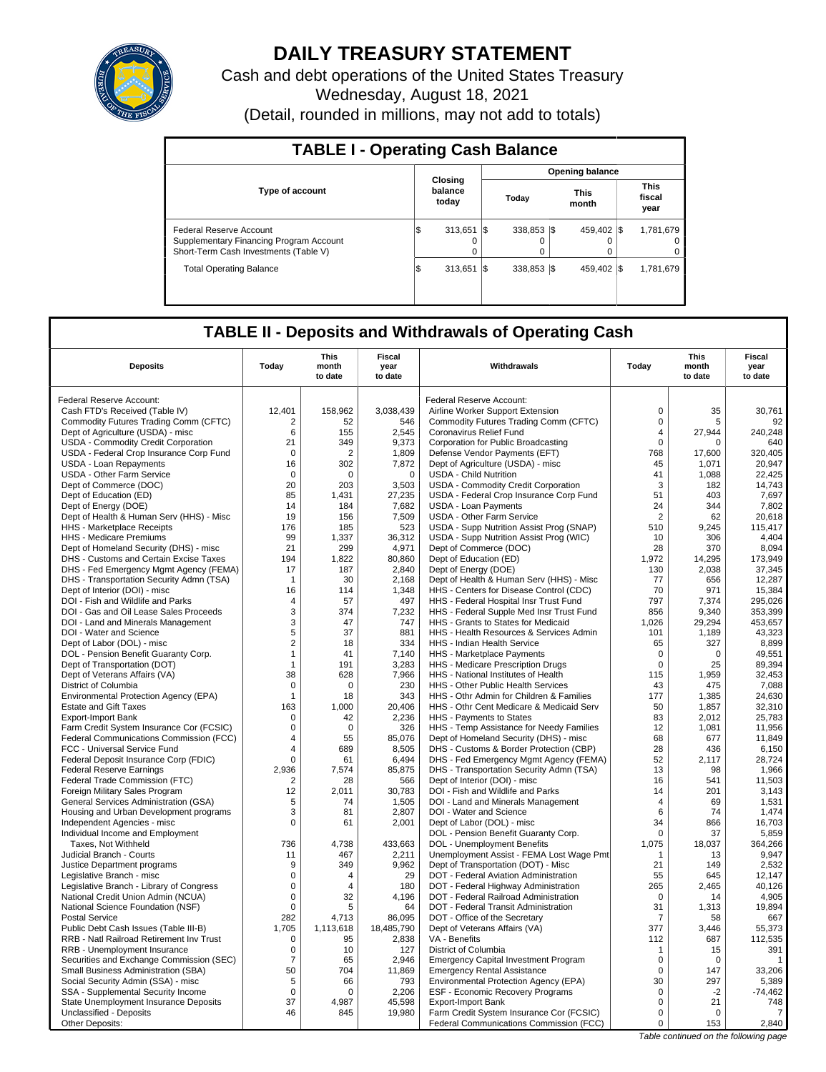

# **DAILY TREASURY STATEMENT**

Cash and debt operations of the United States Treasury Wednesday, August 18, 2021 (Detail, rounded in millions, may not add to totals)

| <b>TABLE I - Operating Cash Balance</b>                                                                     |                             |                         |                      |                               |  |  |  |  |  |
|-------------------------------------------------------------------------------------------------------------|-----------------------------|-------------------------|----------------------|-------------------------------|--|--|--|--|--|
|                                                                                                             |                             |                         | Opening balance      |                               |  |  |  |  |  |
| <b>Type of account</b>                                                                                      | Closing<br>balance<br>today | Today                   | <b>This</b><br>month | <b>This</b><br>fiscal<br>year |  |  |  |  |  |
| Federal Reserve Account<br>Supplementary Financing Program Account<br>Short-Term Cash Investments (Table V) | 313.651<br>Φ<br>0           | 338.853 \\$<br>I\$<br>0 | 459.402 \\ \$        | 1,781,679<br>0                |  |  |  |  |  |
| <b>Total Operating Balance</b>                                                                              | 313.651<br>ıΦ               | 338.853 \\$<br>I\$      | 459.402 \\$          | 1,781,679                     |  |  |  |  |  |

## **TABLE II - Deposits and Withdrawals of Operating Cash**

|                                                                       |                | <b>This</b>      | Fiscal          |                                                                                   |                     | <b>This</b>      | <b>Fiscal</b>     |
|-----------------------------------------------------------------------|----------------|------------------|-----------------|-----------------------------------------------------------------------------------|---------------------|------------------|-------------------|
| <b>Deposits</b>                                                       | Today          | month<br>to date | year<br>to date | Withdrawals                                                                       | Today               | month<br>to date | year<br>to date   |
| Federal Reserve Account:                                              |                |                  |                 | Federal Reserve Account:                                                          |                     |                  |                   |
| Cash FTD's Received (Table IV)                                        | 12,401         | 158,962          | 3,038,439       | Airline Worker Support Extension                                                  | $\mathbf 0$         | 35               | 30.761            |
| Commodity Futures Trading Comm (CFTC)                                 | 2              | 52               | 546             | Commodity Futures Trading Comm (CFTC)                                             | $\pmb{0}$           | 5                | 92                |
| Dept of Agriculture (USDA) - misc                                     | 6              | 155              | 2.545           | Coronavirus Relief Fund                                                           | $\overline{4}$      | 27.944           | 240.248           |
| USDA - Commodity Credit Corporation                                   | 21             | 349              | 9,373           | Corporation for Public Broadcasting                                               | $\mathbf 0$         | $\Omega$         | 640               |
| USDA - Federal Crop Insurance Corp Fund                               | 0              | 2                | 1.809           | Defense Vendor Payments (EFT)                                                     | 768                 | 17.600           | 320.405           |
| <b>USDA - Loan Repayments</b>                                         | 16             | 302              | 7,872           | Dept of Agriculture (USDA) - misc                                                 | 45                  | 1,071            | 20,947            |
| <b>USDA - Other Farm Service</b>                                      | $\Omega$       | $\Omega$         | $\Omega$        | <b>USDA - Child Nutrition</b>                                                     | 41                  | 1,088            | 22,425            |
| Dept of Commerce (DOC)                                                | 20             | 203              | 3,503           | USDA - Commodity Credit Corporation                                               | 3                   | 182              | 14,743            |
| Dept of Education (ED)                                                | 85             | 1,431            | 27,235          | USDA - Federal Crop Insurance Corp Fund                                           | 51                  | 403              | 7,697             |
| Dept of Energy (DOE)                                                  | 14             | 184              | 7,682           | <b>USDA - Loan Payments</b>                                                       | 24                  | 344              | 7,802             |
| Dept of Health & Human Serv (HHS) - Misc                              | 19             | 156              | 7,509           | USDA - Other Farm Service                                                         | $\overline{2}$      | 62               | 20,618            |
| HHS - Marketplace Receipts                                            | 176            | 185              | 523             | USDA - Supp Nutrition Assist Prog (SNAP)                                          | 510                 | 9.245            | 115.417           |
| HHS - Medicare Premiums                                               | 99             | 1,337            | 36,312          | USDA - Supp Nutrition Assist Prog (WIC)                                           | 10                  | 306              | 4,404             |
| Dept of Homeland Security (DHS) - misc                                | 21             | 299              | 4,971           | Dept of Commerce (DOC)                                                            | 28                  | 370              | 8,094             |
| DHS - Customs and Certain Excise Taxes                                | 194<br>17      | 1,822<br>187     | 80,860<br>2,840 | Dept of Education (ED)                                                            | 1,972<br>130        | 14,295<br>2,038  | 173,949<br>37,345 |
| DHS - Fed Emergency Mgmt Agency (FEMA)                                |                |                  |                 | Dept of Energy (DOE)                                                              | 77                  |                  | 12,287            |
| DHS - Transportation Security Admn (TSA)                              | $\mathbf{1}$   | 30<br>114        | 2,168           | Dept of Health & Human Serv (HHS) - Misc                                          | 70                  | 656<br>971       |                   |
| Dept of Interior (DOI) - misc<br>DOI - Fish and Wildlife and Parks    | 16<br>4        | 57               | 1,348<br>497    | HHS - Centers for Disease Control (CDC)<br>HHS - Federal Hospital Insr Trust Fund | 797                 | 7,374            | 15,384<br>295,026 |
| DOI - Gas and Oil Lease Sales Proceeds                                | 3              | 374              | 7,232           | HHS - Federal Supple Med Insr Trust Fund                                          | 856                 | 9,340            | 353,399           |
| DOI - Land and Minerals Management                                    | 3              | 47               | 747             | HHS - Grants to States for Medicaid                                               | 1,026               | 29,294           | 453,657           |
| DOI - Water and Science                                               | 5              | 37               | 881             | HHS - Health Resources & Services Admin                                           | 101                 | 1,189            | 43,323            |
| Dept of Labor (DOL) - misc                                            | $\overline{2}$ | 18               | 334             | HHS - Indian Health Service                                                       | 65                  | 327              | 8,899             |
| DOL - Pension Benefit Guaranty Corp.                                  | 1              | 41               | 7,140           | HHS - Marketplace Payments                                                        | $\mathbf 0$         | $\mathbf 0$      | 49,551            |
| Dept of Transportation (DOT)                                          | $\overline{1}$ | 191              | 3,283           | HHS - Medicare Prescription Drugs                                                 | $\Omega$            | 25               | 89,394            |
| Dept of Veterans Affairs (VA)                                         | 38             | 628              | 7,966           | HHS - National Institutes of Health                                               | 115                 | 1,959            | 32,453            |
| District of Columbia                                                  | $\pmb{0}$      | 0                | 230             | HHS - Other Public Health Services                                                | 43                  | 475              | 7,088             |
| Environmental Protection Agency (EPA)                                 | $\mathbf{1}$   | 18               | 343             | HHS - Othr Admin for Children & Families                                          | 177                 | 1,385            | 24,630            |
| <b>Estate and Gift Taxes</b>                                          | 163            | 1,000            | 20,406          | HHS - Othr Cent Medicare & Medicaid Serv                                          | 50                  | 1,857            | 32,310            |
| Export-Import Bank                                                    | 0              | 42               | 2,236           | HHS - Payments to States                                                          | 83                  | 2,012            | 25,783            |
| Farm Credit System Insurance Cor (FCSIC)                              | $\mathbf 0$    | $\mathbf 0$      | 326             | HHS - Temp Assistance for Needy Families                                          | 12                  | 1,081            | 11,956            |
| Federal Communications Commission (FCC)                               | $\overline{4}$ | 55               | 85,076          | Dept of Homeland Security (DHS) - misc                                            | 68                  | 677              | 11,849            |
| FCC - Universal Service Fund                                          | 4              | 689              | 8.505           | DHS - Customs & Border Protection (CBP)                                           | 28                  | 436              | 6.150             |
| Federal Deposit Insurance Corp (FDIC)                                 | $\mathsf 0$    | 61               | 6,494           | DHS - Fed Emergency Mgmt Agency (FEMA)                                            | 52                  | 2,117            | 28,724            |
| <b>Federal Reserve Earnings</b>                                       | 2.936          | 7.574            | 85,875          | DHS - Transportation Security Admn (TSA)                                          | 13                  | 98               | 1.966             |
| Federal Trade Commission (FTC)                                        | $\overline{2}$ | 28               | 566             | Dept of Interior (DOI) - misc                                                     | 16                  | 541              | 11,503            |
| Foreign Military Sales Program                                        | 12             | 2.011            | 30.783          | DOI - Fish and Wildlife and Parks                                                 | 14                  | 201              | 3,143             |
| General Services Administration (GSA)                                 | 5<br>3         | 74<br>81         | 1,505<br>2,807  | DOI - Land and Minerals Management                                                | $\overline{4}$<br>6 | 69<br>74         | 1,531<br>1.474    |
| Housing and Urban Development programs<br>Independent Agencies - misc | $\mathsf 0$    | 61               | 2,001           | DOI - Water and Science<br>Dept of Labor (DOL) - misc                             | 34                  | 866              | 16,703            |
| Individual Income and Employment                                      |                |                  |                 | DOL - Pension Benefit Guaranty Corp.                                              | $\Omega$            | 37               | 5,859             |
| Taxes, Not Withheld                                                   | 736            | 4.738            | 433,663         | DOL - Unemployment Benefits                                                       | 1,075               | 18,037           | 364,266           |
| Judicial Branch - Courts                                              | 11             | 467              | 2,211           | Unemployment Assist - FEMA Lost Wage Pmt                                          | -1                  | 13               | 9,947             |
| Justice Department programs                                           | 9              | 349              | 9.962           | Dept of Transportation (DOT) - Misc                                               | 21                  | 149              | 2,532             |
| Legislative Branch - misc                                             | 0              | 4                | 29              | DOT - Federal Aviation Administration                                             | 55                  | 645              | 12,147            |
| Legislative Branch - Library of Congress                              | $\mathbf 0$    | 4                | 180             | DOT - Federal Highway Administration                                              | 265                 | 2,465            | 40,126            |
| National Credit Union Admin (NCUA)                                    | $\mathsf 0$    | 32               | 4,196           | DOT - Federal Railroad Administration                                             | 0                   | 14               | 4,905             |
| National Science Foundation (NSF)                                     | $\mathbf 0$    | 5                | 64              | DOT - Federal Transit Administration                                              | 31                  | 1,313            | 19,894            |
| <b>Postal Service</b>                                                 | 282            | 4,713            | 86,095          | DOT - Office of the Secretary                                                     | 7                   | 58               | 667               |
| Public Debt Cash Issues (Table III-B)                                 | 1,705          | 1,113,618        | 18,485,790      | Dept of Veterans Affairs (VA)                                                     | 377                 | 3,446            | 55,373            |
| RRB - Natl Railroad Retirement Inv Trust                              | $\mathbf 0$    | 95               | 2,838           | VA - Benefits                                                                     | 112                 | 687              | 112,535           |
| RRB - Unemployment Insurance                                          | $\mathbf 0$    | 10               | 127             | District of Columbia                                                              | $\mathbf{1}$        | 15               | 391               |
| Securities and Exchange Commission (SEC)                              | 7              | 65               | 2,946           | <b>Emergency Capital Investment Program</b>                                       | $\mathbf 0$         | $\Omega$         | $\overline{1}$    |
| Small Business Administration (SBA)                                   | 50             | 704              | 11,869          | <b>Emergency Rental Assistance</b>                                                | $\mathbf 0$         | 147              | 33,206            |
| Social Security Admin (SSA) - misc                                    | 5              | 66               | 793             | Environmental Protection Agency (EPA)                                             | 30                  | 297              | 5,389             |
| SSA - Supplemental Security Income                                    | $\mathbf 0$    | $\Omega$         | 2,206           | ESF - Economic Recovery Programs                                                  | 0                   | $-2$             | $-74.462$         |
| State Unemployment Insurance Deposits                                 | 37             | 4,987            | 45,598          | <b>Export-Import Bank</b>                                                         | $\mathsf 0$         | 21               | 748               |
| Unclassified - Deposits                                               | 46             | 845              | 19.980          | Farm Credit System Insurance Cor (FCSIC)                                          | $\mathbf 0$         | $\Omega$         | $\overline{7}$    |
| Other Deposits:                                                       |                |                  |                 | Federal Communications Commission (FCC)                                           | 0                   | 153              | 2,840             |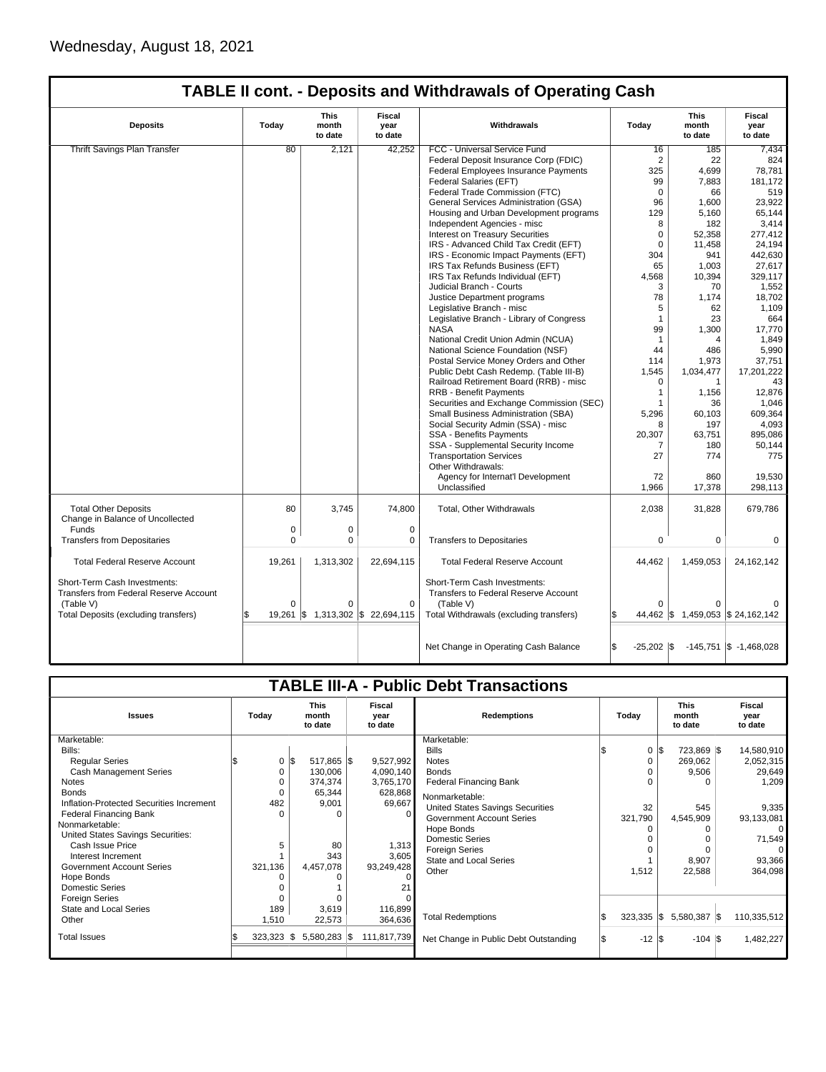| <b>Deposits</b>                                                               | Today    | <b>This</b><br>month<br>to date | <b>Fiscal</b><br>year<br>to date                 | Withdrawals                                                                 | Today          | <b>This</b><br>month<br>to date   | <b>Fiscal</b><br>year<br>to date |
|-------------------------------------------------------------------------------|----------|---------------------------------|--------------------------------------------------|-----------------------------------------------------------------------------|----------------|-----------------------------------|----------------------------------|
| <b>Thrift Savings Plan Transfer</b>                                           | 80       | 2,121                           | 42,252                                           | FCC - Universal Service Fund                                                | 16             | 185                               | 7,434                            |
|                                                                               |          |                                 |                                                  | Federal Deposit Insurance Corp (FDIC)                                       | $\overline{2}$ | 22                                | 824                              |
|                                                                               |          |                                 |                                                  | Federal Employees Insurance Payments                                        | 325            | 4,699                             | 78,781                           |
|                                                                               |          |                                 |                                                  | Federal Salaries (EFT)                                                      | 99             | 7,883                             | 181.172                          |
|                                                                               |          |                                 |                                                  | Federal Trade Commission (FTC)                                              | $\Omega$       | 66                                | 519                              |
|                                                                               |          |                                 |                                                  | General Services Administration (GSA)                                       | 96             | 1,600                             | 23.922                           |
|                                                                               |          |                                 |                                                  | Housing and Urban Development programs                                      | 129            | 5,160                             | 65,144                           |
|                                                                               |          |                                 |                                                  | Independent Agencies - misc                                                 | 8              | 182                               | 3,414                            |
|                                                                               |          |                                 |                                                  | <b>Interest on Treasury Securities</b>                                      | $\mathbf 0$    | 52,358                            | 277,412                          |
|                                                                               |          |                                 |                                                  | IRS - Advanced Child Tax Credit (EFT)                                       | $\mathbf 0$    | 11,458                            | 24,194                           |
|                                                                               |          |                                 |                                                  | IRS - Economic Impact Payments (EFT)                                        | 304            | 941                               | 442,630                          |
|                                                                               |          |                                 |                                                  | IRS Tax Refunds Business (EFT)                                              | 65             | 1,003                             | 27,617                           |
|                                                                               |          |                                 |                                                  | IRS Tax Refunds Individual (EFT)                                            | 4,568          | 10,394                            | 329,117                          |
|                                                                               |          |                                 |                                                  | Judicial Branch - Courts                                                    | 3              | 70                                | 1,552                            |
|                                                                               |          |                                 |                                                  | Justice Department programs                                                 | 78             | 1,174                             | 18,702                           |
|                                                                               |          |                                 |                                                  | Legislative Branch - misc                                                   | 5              | 62                                | 1,109                            |
|                                                                               |          |                                 |                                                  | Legislative Branch - Library of Congress                                    | $\mathbf{1}$   | 23                                | 664                              |
|                                                                               |          |                                 |                                                  | <b>NASA</b>                                                                 | 99             | 1,300                             | 17,770                           |
|                                                                               |          |                                 |                                                  | National Credit Union Admin (NCUA)                                          | $\mathbf{1}$   | 4                                 | 1,849                            |
|                                                                               |          |                                 |                                                  | National Science Foundation (NSF)                                           | 44             | 486                               | 5,990                            |
|                                                                               |          |                                 |                                                  | Postal Service Money Orders and Other                                       | 114            | 1,973                             | 37,751                           |
|                                                                               |          |                                 |                                                  | Public Debt Cash Redemp. (Table III-B)                                      | 1,545          | 1,034,477                         | 17,201,222                       |
|                                                                               |          |                                 |                                                  | Railroad Retirement Board (RRB) - misc                                      | $\Omega$       | 1                                 | 43                               |
|                                                                               |          |                                 |                                                  | <b>RRB - Benefit Payments</b>                                               | $\mathbf{1}$   | 1.156                             | 12.876                           |
|                                                                               |          |                                 |                                                  | Securities and Exchange Commission (SEC)                                    | 1              | 36                                | 1,046                            |
|                                                                               |          |                                 |                                                  | Small Business Administration (SBA)                                         | 5,296          | 60,103                            | 609,364                          |
|                                                                               |          |                                 |                                                  | Social Security Admin (SSA) - misc                                          | 8              | 197                               | 4,093                            |
|                                                                               |          |                                 |                                                  | SSA - Benefits Payments                                                     | 20,307         | 63,751                            | 895,086                          |
|                                                                               |          |                                 |                                                  | SSA - Supplemental Security Income                                          | 7              | 180                               | 50,144                           |
|                                                                               |          |                                 |                                                  | <b>Transportation Services</b>                                              | 27             | 774                               | 775                              |
|                                                                               |          |                                 |                                                  | Other Withdrawals:                                                          |                |                                   |                                  |
|                                                                               |          |                                 |                                                  | Agency for Internat'l Development                                           | 72             | 860                               | 19,530                           |
|                                                                               |          |                                 |                                                  | Unclassified                                                                | 1,966          | 17,378                            | 298,113                          |
|                                                                               |          |                                 |                                                  |                                                                             |                |                                   |                                  |
| <b>Total Other Deposits</b><br>Change in Balance of Uncollected               | 80       | 3,745                           | 74,800                                           | Total, Other Withdrawals                                                    | 2,038          | 31,828                            | 679,786                          |
| Funds                                                                         | 0        | 0                               | 0                                                |                                                                             |                |                                   |                                  |
| <b>Transfers from Depositaries</b>                                            | $\Omega$ | $\mathbf 0$                     | $\mathbf 0$                                      | <b>Transfers to Depositaries</b>                                            | 0              | $\mathbf 0$                       | 0                                |
| <b>Total Federal Reserve Account</b>                                          | 19,261   | 1,313,302                       | 22,694,115                                       | <b>Total Federal Reserve Account</b>                                        | 44,462         | 1,459,053                         | 24, 162, 142                     |
| Short-Term Cash Investments:<br><b>Transfers from Federal Reserve Account</b> |          |                                 |                                                  | Short-Term Cash Investments:<br><b>Transfers to Federal Reserve Account</b> |                |                                   |                                  |
| (Table V)                                                                     | $\Omega$ | $\Omega$                        | $\Omega$                                         | (Table V)                                                                   | ∩              | 0                                 |                                  |
| Total Deposits (excluding transfers)                                          | 19,261   |                                 | $\frac{1}{3}$ 1,313,302 $\frac{1}{3}$ 22,694,115 | Total Withdrawals (excluding transfers)                                     |                | 44,462 \$ 1,459,053 \$ 24,162,142 |                                  |
|                                                                               |          |                                 |                                                  |                                                                             |                |                                   |                                  |
|                                                                               |          |                                 |                                                  | Net Change in Operating Cash Balance                                        | $-25,202$ \$   |                                   | $-145,751$ \$ $-1,468,028$       |
|                                                                               |          |                                 |                                                  |                                                                             |                |                                   |                                  |

| <b>TABLE III-A - Public Debt Transactions</b> |                                          |          |              |                           |             |                                         |  |                  |                                 |  |                           |  |
|-----------------------------------------------|------------------------------------------|----------|--------------|---------------------------|-------------|-----------------------------------------|--|------------------|---------------------------------|--|---------------------------|--|
| <b>Issues</b>                                 | <b>This</b><br>Today<br>month<br>to date |          |              | Fiscal<br>year<br>to date |             | <b>Redemptions</b>                      |  | Today            | <b>This</b><br>month<br>to date |  | Fiscal<br>year<br>to date |  |
| Marketable:                                   |                                          |          |              |                           |             | Marketable:                             |  |                  |                                 |  |                           |  |
| Bills:                                        |                                          |          |              |                           |             | <b>Bills</b>                            |  |                  | $0 \,$ $\upbeta$<br>723,869 \$  |  | 14,580,910                |  |
| <b>Reqular Series</b>                         |                                          | 0<br>l\$ | 517,865 \$   |                           | 9,527,992   | <b>Notes</b>                            |  | 0                | 269,062                         |  | 2,052,315                 |  |
| <b>Cash Management Series</b>                 |                                          | $\Omega$ | 130,006      |                           | 4,090,140   | <b>Bonds</b>                            |  |                  | 9,506                           |  | 29,649                    |  |
| <b>Notes</b>                                  |                                          |          | 374,374      |                           | 3,765,170   | <b>Federal Financing Bank</b>           |  |                  |                                 |  | 1,209                     |  |
| <b>Bonds</b>                                  |                                          | 0        | 65,344       |                           | 628,868     | Nonmarketable:                          |  |                  |                                 |  |                           |  |
| Inflation-Protected Securities Increment      | 482                                      |          | 9,001        |                           | 69,667      | <b>United States Savings Securities</b> |  | 32               | 545                             |  | 9,335                     |  |
| <b>Federal Financing Bank</b>                 |                                          |          | ŋ            |                           |             | <b>Government Account Series</b>        |  | 321,790          | 4,545,909                       |  | 93,133,081                |  |
| Nonmarketable:                                |                                          |          |              |                           |             | Hope Bonds                              |  |                  |                                 |  |                           |  |
| United States Savings Securities:             |                                          |          |              |                           |             | <b>Domestic Series</b>                  |  |                  |                                 |  | 71,549                    |  |
| Cash Issue Price                              |                                          |          | 80           |                           | 1,313       | <b>Foreign Series</b>                   |  |                  |                                 |  | 0                         |  |
| Interest Increment                            |                                          |          | 343          |                           | 3,605       | <b>State and Local Series</b>           |  |                  | 8,907                           |  | 93,366                    |  |
| Government Account Series                     | 321,136                                  |          | 4,457,078    |                           | 93,249,428  | Other                                   |  | 1,512            | 22,588                          |  | 364,098                   |  |
| Hope Bonds                                    |                                          |          |              |                           |             |                                         |  |                  |                                 |  |                           |  |
| <b>Domestic Series</b>                        |                                          |          |              |                           |             |                                         |  |                  |                                 |  |                           |  |
| <b>Foreign Series</b>                         |                                          |          |              |                           |             |                                         |  |                  |                                 |  |                           |  |
| State and Local Series                        | 189                                      |          | 3,619        |                           | 116,899     |                                         |  |                  |                                 |  |                           |  |
| Other                                         | 1,510                                    |          | 22,573       |                           | 364,636     | <b>Total Redemptions</b>                |  | $323,335$ \$     | 5,580,387 \$                    |  | 110,335,512               |  |
| <b>Total Issues</b>                           | 323,323                                  | IS.      | 5,580,283 \$ |                           | 111,817,739 | Net Change in Public Debt Outstanding   |  | $-12$ $\sqrt{3}$ | $-104$ S                        |  | 1,482,227                 |  |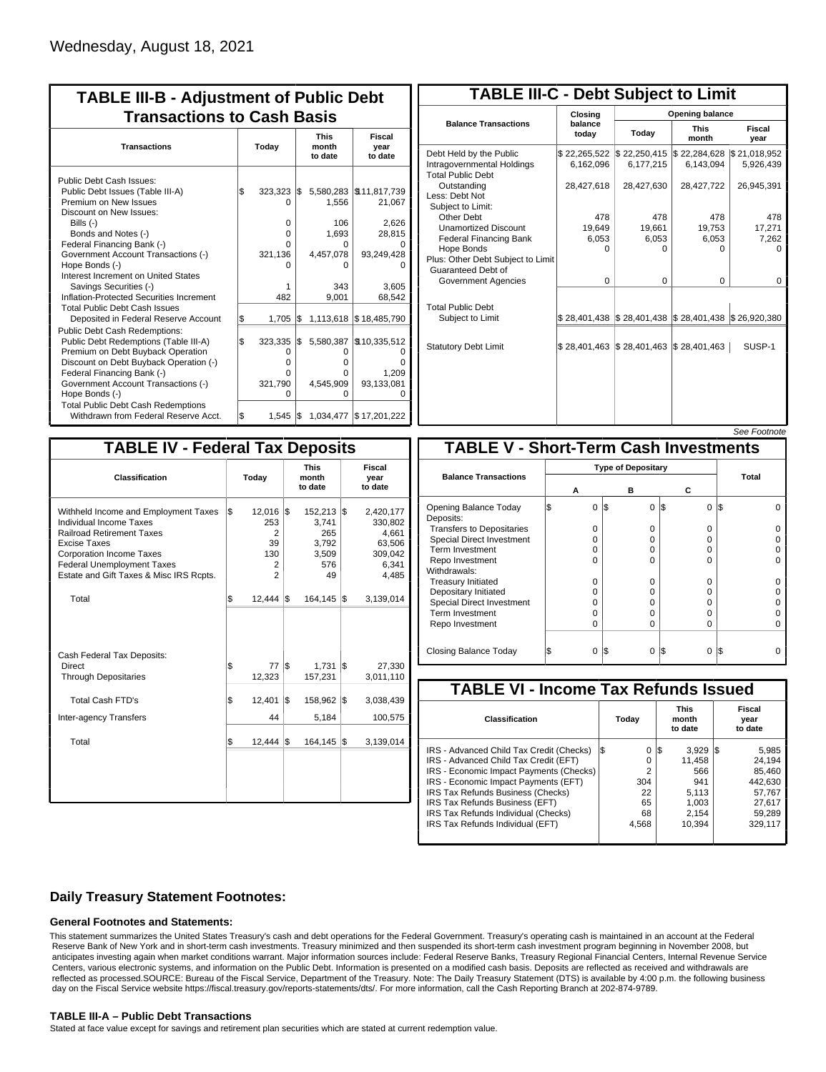| <b>TABLE III-B - Adjustment of Public Debt</b><br><b>Transactions to Cash Basis</b>                                                                                                                                                                 |       |                                               |     |                                            |                                     |                                 |                                  |  |
|-----------------------------------------------------------------------------------------------------------------------------------------------------------------------------------------------------------------------------------------------------|-------|-----------------------------------------------|-----|--------------------------------------------|-------------------------------------|---------------------------------|----------------------------------|--|
| <b>Transactions</b>                                                                                                                                                                                                                                 | Today |                                               |     |                                            |                                     | <b>This</b><br>month<br>to date | <b>Fiscal</b><br>year<br>to date |  |
| Public Debt Cash Issues:<br>Public Debt Issues (Table III-A)<br>Premium on New Issues                                                                                                                                                               | l\$   | 323,323<br>O                                  | I\$ | 5,580,283<br>1,556                         | \$11,817,739<br>21,067              |                                 |                                  |  |
| Discount on New Issues:<br>Bills $(-)$<br>Bonds and Notes (-)                                                                                                                                                                                       |       | 0<br>0                                        |     | 106<br>1,693                               | 2,626<br>28,815                     |                                 |                                  |  |
| Federal Financing Bank (-)<br>Government Account Transactions (-)<br>Hope Bonds (-)                                                                                                                                                                 |       | O<br>321,136<br>n                             |     | 0<br>4,457,078<br>U                        | 93,249,428                          |                                 |                                  |  |
| Interest Increment on United States<br>Savings Securities (-)<br>Inflation-Protected Securities Increment                                                                                                                                           |       | 482                                           |     | 343<br>9,001                               | 3.605<br>68,542                     |                                 |                                  |  |
| <b>Total Public Debt Cash Issues</b><br>Deposited in Federal Reserve Account                                                                                                                                                                        | \$    | 1,705                                         | l\$ | 1,113,618                                  | \$18,485,790                        |                                 |                                  |  |
| <b>Public Debt Cash Redemptions:</b><br>Public Debt Redemptions (Table III-A)<br>Premium on Debt Buyback Operation<br>Discount on Debt Buyback Operation (-)<br>Federal Financing Bank (-)<br>Government Account Transactions (-)<br>Hope Bonds (-) | \$    | 323,335<br>0<br>$\Omega$<br>0<br>321,790<br>O | \$  | 5,580,387<br>0<br>0<br>O<br>4,545,909<br>0 | \$10,335,512<br>1,209<br>93,133,081 |                                 |                                  |  |
| <b>Total Public Debt Cash Redemptions</b><br>Withdrawn from Federal Reserve Acct.                                                                                                                                                                   | l\$   | 1,545                                         | I\$ |                                            | 1,034,477 \$17,201,222              |                                 |                                  |  |

| <b>TABLE III-C - Debt Subject to Limit</b>                                        |                           |                                                                                                     |                           |                           |  |  |  |  |  |
|-----------------------------------------------------------------------------------|---------------------------|-----------------------------------------------------------------------------------------------------|---------------------------|---------------------------|--|--|--|--|--|
|                                                                                   | Closing                   | Opening balance                                                                                     |                           |                           |  |  |  |  |  |
| <b>Balance Transactions</b>                                                       | balance<br>today          | Today                                                                                               | <b>This</b><br>month      | Fiscal<br>year            |  |  |  |  |  |
| Debt Held by the Public<br>Intragovernmental Holdings<br><b>Total Public Debt</b> | \$22,265,522<br>6,162,096 | \$22,250,415<br>6,177,215                                                                           | \$22,284,628<br>6,143,094 | \$21,018,952<br>5,926,439 |  |  |  |  |  |
| Outstanding<br>Less: Debt Not<br>Subject to Limit:                                | 28,427,618                | 28,427,630                                                                                          | 28,427,722                | 26,945,391                |  |  |  |  |  |
| Other Debt                                                                        | 478                       | 478                                                                                                 | 478                       | 478                       |  |  |  |  |  |
| <b>Unamortized Discount</b>                                                       | 19,649                    | 19,661                                                                                              | 19,753                    | 17,271                    |  |  |  |  |  |
| <b>Federal Financing Bank</b>                                                     | 6,053                     | 6,053                                                                                               | 6,053                     | 7,262                     |  |  |  |  |  |
| Hope Bonds<br>Plus: Other Debt Subject to Limit<br><b>Guaranteed Debt of</b>      | O                         | ი                                                                                                   | o                         | U                         |  |  |  |  |  |
| Government Agencies                                                               | $\Omega$                  | 0                                                                                                   | $\Omega$                  | $\Omega$                  |  |  |  |  |  |
| <b>Total Public Debt</b><br>Subject to Limit                                      |                           | $\frac{1}{2}$ 28,401,438 $\frac{1}{2}$ 28,401,438 $\frac{1}{2}$ 28,401,438 $\frac{1}{2}$ 26,920,380 |                           |                           |  |  |  |  |  |
| <b>Statutory Debt Limit</b>                                                       | \$28,401,463              | $\frac{1}{2}$ \$ 28,401,463 $\frac{1}{2}$ 28,401,463                                                |                           | SUSP-1                    |  |  |  |  |  |
|                                                                                   |                           |                                                                                                     |                           |                           |  |  |  |  |  |

| See Footnote |  |
|--------------|--|
|              |  |

| <b>TABLE IV - Federal Tax Deposits</b>                                                                                                                                                                                                               |    |                                                             |     |                                                           |     |                                                                      |  |
|------------------------------------------------------------------------------------------------------------------------------------------------------------------------------------------------------------------------------------------------------|----|-------------------------------------------------------------|-----|-----------------------------------------------------------|-----|----------------------------------------------------------------------|--|
| Classification                                                                                                                                                                                                                                       |    | Today                                                       |     | <b>This</b><br>month<br>to date                           |     | Fiscal<br>year<br>to date                                            |  |
| Withheld Income and Employment Taxes<br><b>Individual Income Taxes</b><br><b>Railroad Retirement Taxes</b><br><b>Excise Taxes</b><br><b>Corporation Income Taxes</b><br><b>Federal Unemployment Taxes</b><br>Estate and Gift Taxes & Misc IRS Rcpts. | \$ | $12,016$ \$<br>253<br>2<br>39<br>130<br>2<br>$\overline{2}$ |     | 152,213 \$<br>3,741<br>265<br>3,792<br>3,509<br>576<br>49 |     | 2,420,177<br>330,802<br>4,661<br>63,506<br>309,042<br>6,341<br>4,485 |  |
| Total                                                                                                                                                                                                                                                | \$ | $12,444$ $\sqrt{3}$                                         |     | 164,145                                                   | 1\$ | 3,139,014                                                            |  |
| Cash Federal Tax Deposits:<br>Direct<br><b>Through Depositaries</b>                                                                                                                                                                                  | \$ | 77<br>12,323                                                | l\$ | $1,731$ \$<br>157,231                                     |     | 27,330<br>3,011,110                                                  |  |
| Total Cash FTD's                                                                                                                                                                                                                                     | \$ | 12,401                                                      | l\$ | 158,962                                                   | l\$ | 3,038,439                                                            |  |
| <b>Inter-agency Transfers</b>                                                                                                                                                                                                                        |    | 44                                                          |     | 5,184                                                     |     | 100,575                                                              |  |
| Total                                                                                                                                                                                                                                                | \$ | 12.444                                                      | 1\$ | 164,145                                                   | l\$ | 3,139,014                                                            |  |
|                                                                                                                                                                                                                                                      |    |                                                             |     |                                                           |     |                                                                      |  |

| <b>TABLE V - Short-Term Cash Investments</b> |          |                           |          |       |  |  |  |  |  |  |
|----------------------------------------------|----------|---------------------------|----------|-------|--|--|--|--|--|--|
|                                              |          | <b>Type of Depositary</b> |          |       |  |  |  |  |  |  |
| <b>Balance Transactions</b>                  |          |                           |          | Total |  |  |  |  |  |  |
|                                              | А        | в                         | С        |       |  |  |  |  |  |  |
| Opening Balance Today<br>Deposits:           | 0        | l\$<br>$\Omega$           | 0<br>1\$ | I\$   |  |  |  |  |  |  |
| <b>Transfers to Depositaries</b>             | O        | $\Omega$                  | O        |       |  |  |  |  |  |  |
| <b>Special Direct Investment</b>             | O        | 0                         | O        |       |  |  |  |  |  |  |
| Term Investment                              | O        | 0                         | 0        |       |  |  |  |  |  |  |
| Repo Investment                              | U        | U                         | O        |       |  |  |  |  |  |  |
| Withdrawals:                                 |          |                           |          |       |  |  |  |  |  |  |
| <b>Treasury Initiated</b>                    | O        | 0                         | 0        |       |  |  |  |  |  |  |
| Depositary Initiated                         | O        | 0                         | 0        |       |  |  |  |  |  |  |
| <b>Special Direct Investment</b>             | Ω        | 0                         | 0        |       |  |  |  |  |  |  |
| <b>Term Investment</b>                       | ი        | $\Omega$                  | O        |       |  |  |  |  |  |  |
| Repo Investment                              | 0        | $\Omega$                  | 0        |       |  |  |  |  |  |  |
|                                              |          |                           |          |       |  |  |  |  |  |  |
| Closing Balance Today                        | $\Omega$ | I\$<br>0                  | I\$<br>0 | l\$   |  |  |  |  |  |  |

| <b>TABLE VI - Income Tax Refunds Issued</b> |     |                |    |                                 |     |                           |  |  |  |
|---------------------------------------------|-----|----------------|----|---------------------------------|-----|---------------------------|--|--|--|
| Classification                              |     | Today          |    | <b>This</b><br>month<br>to date |     | Fiscal<br>year<br>to date |  |  |  |
| IRS - Advanced Child Tax Credit (Checks)    | l\$ | 0              | 13 | 3,929                           | IS. | 5,985                     |  |  |  |
| IRS - Advanced Child Tax Credit (EFT)       |     | 0              |    | 11.458                          |     | 24.194                    |  |  |  |
| IRS - Economic Impact Payments (Checks)     |     | $\overline{2}$ |    | 566                             |     | 85.460                    |  |  |  |
| IRS - Economic Impact Payments (EFT)        |     | 304            |    | 941                             |     | 442.630                   |  |  |  |
| IRS Tax Refunds Business (Checks)           |     | 22             |    | 5.113                           |     | 57.767                    |  |  |  |
| IRS Tax Refunds Business (EFT)              |     | 65             |    | 1.003                           |     | 27.617                    |  |  |  |
| IRS Tax Refunds Individual (Checks)         |     | 68             |    | 2,154                           |     | 59,289                    |  |  |  |
| IRS Tax Refunds Individual (EFT)            |     | 4,568          |    | 10.394                          |     | 329,117                   |  |  |  |
|                                             |     |                |    |                                 |     |                           |  |  |  |

### **Daily Treasury Statement Footnotes:**

#### **General Footnotes and Statements:**

This statement summarizes the United States Treasury's cash and debt operations for the Federal Government. Treasury's operating cash is maintained in an account at the Federal Reserve Bank of New York and in short-term cash investments. Treasury minimized and then suspended its short-term cash investment program beginning in November 2008, but anticipates investing again when market conditions warrant. Major information sources include: Federal Reserve Banks, Treasury Regional Financial Centers, Internal Revenue Service Centers, various electronic systems, and information on the Public Debt. Information is presented on a modified cash basis. Deposits are reflected as received and withdrawals are reflected as processed.SOURCE: Bureau of the Fiscal Service, Department of the Treasury. Note: The Daily Treasury Statement (DTS) is available by 4:00 p.m. the following business day on the Fiscal Service website https://fiscal.treasury.gov/reports-statements/dts/. For more information, call the Cash Reporting Branch at 202-874-9789.

#### **TABLE III-A – Public Debt Transactions**

Stated at face value except for savings and retirement plan securities which are stated at current redemption value.